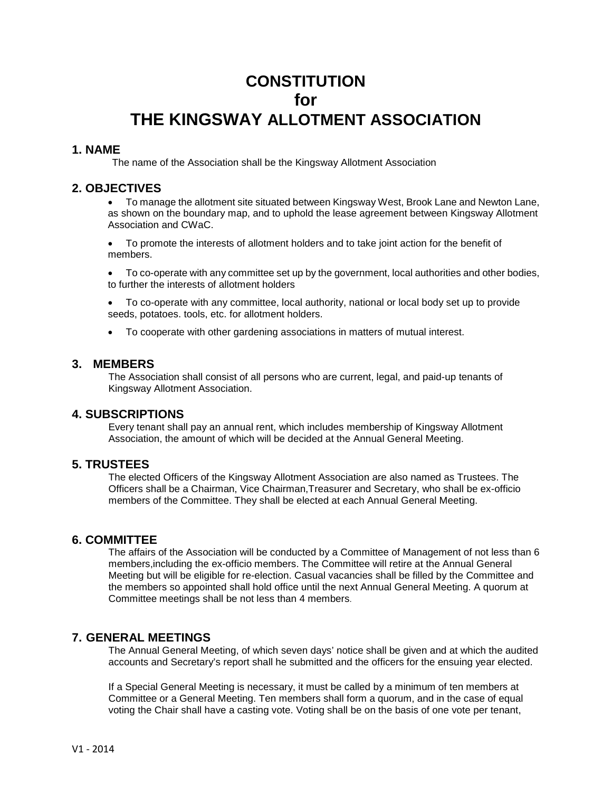# **CONSTITUTION for THE KINGSWAY ALLOTMENT ASSOCIATION**

## **1. NAME**

The name of the Association shall be the Kingsway Allotment Association

# **2. OBJECTIVES**

• To manage the allotment site situated between Kingsway West, Brook Lane and Newton Lane, as shown on the boundary map, and to uphold the lease agreement between Kingsway Allotment Association and CWaC.

• To promote the interests of allotment holders and to take joint action for the benefit of members.

• To co-operate with any committee set up by the government, local authorities and other bodies, to further the interests of allotment holders

• To co-operate with any committee, local authority, national or local body set up to provide seeds, potatoes. tools, etc. for allotment holders.

• To cooperate with other gardening associations in matters of mutual interest.

#### **3. MEMBERS**

The Association shall consist of all persons who are current, legal, and paid-up tenants of Kingsway Allotment Association.

#### **4. SUBSCRIPTIONS**

Every tenant shall pay an annual rent, which includes membership of Kingsway Allotment Association, the amount of which will be decided at the Annual General Meeting.

## **5. TRUSTEES**

The elected Officers of the Kingsway Allotment Association are also named as Trustees. The Officers shall be a Chairman, Vice Chairman,Treasurer and Secretary, who shall be ex-officio members of the Committee. They shall be elected at each Annual General Meeting.

#### **6. COMMITTEE**

The affairs of the Association will be conducted by a Committee of Management of not less than 6 members,including the ex-officio members. The Committee will retire at the Annual General Meeting but will be eligible for re-election. Casual vacancies shall be filled by the Committee and the members so appointed shall hold office until the next Annual General Meeting. A quorum at Committee meetings shall be not less than 4 members.

## **7. GENERAL MEETINGS**

The Annual General Meeting, of which seven days' notice shall be given and at which the audited accounts and Secretary's report shall he submitted and the officers for the ensuing year elected.

If a Special General Meeting is necessary, it must be called by a minimum of ten members at Committee or a General Meeting. Ten members shall form a quorum, and in the case of equal voting the Chair shall have a casting vote. Voting shall be on the basis of one vote per tenant,